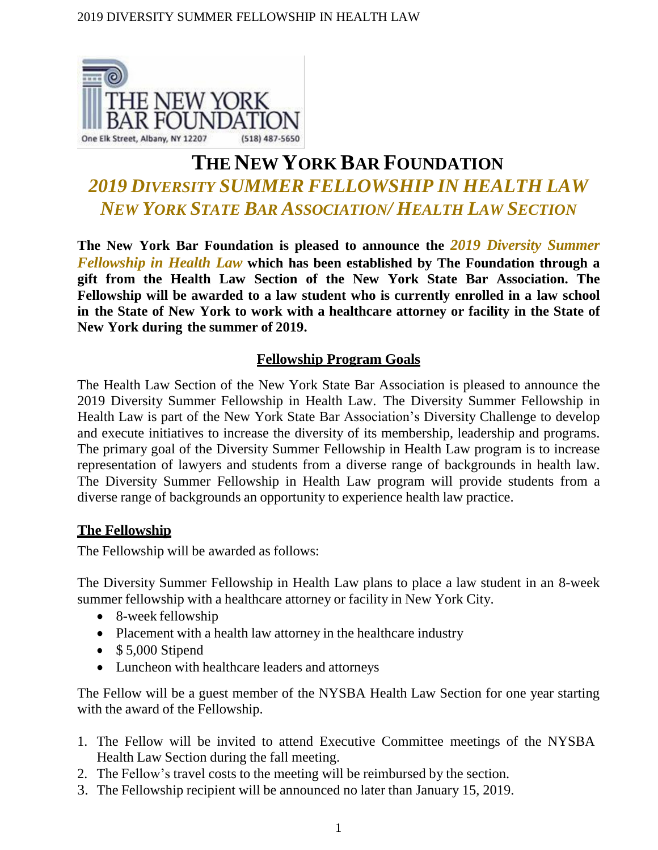

# **THE NEW YORK BAR FOUNDATION** *2019 DIVERSITY SUMMER FELLOWSHIP IN HEALTH LAW NEW YORK STATE BAR ASSOCIATION/ HEALTH LAW SECTION*

**The New York Bar Foundation is pleased to announce the** *2019 Diversity Summer Fellowship in Health Law* **which has been established by The Foundation through a gift from the Health Law Section of the New York State Bar Association. The Fellowship will be awarded to a law student who is currently enrolled in a law school in the State of New York to work with a healthcare attorney or facility in the State of New York during the summer of 2019.**

## **Fellowship Program Goals**

The Health Law Section of the New York State Bar Association is pleased to announce the 2019 Diversity Summer Fellowship in Health Law. The Diversity Summer Fellowship in Health Law is part of the New York State Bar Association's Diversity Challenge to develop and execute initiatives to increase the diversity of its membership, leadership and programs. The primary goal of the Diversity Summer Fellowship in Health Law program is to increase representation of lawyers and students from a diverse range of backgrounds in health law. The Diversity Summer Fellowship in Health Law program will provide students from a diverse range of backgrounds an opportunity to experience health law practice.

## **The Fellowship**

The Fellowship will be awarded as follows:

The Diversity Summer Fellowship in Health Law plans to place a law student in an 8-week summer fellowship with a healthcare attorney or facility in New York City.

- 8-week fellowship
- Placement with a health law attorney in the healthcare industry
- $\bullet$  \$5,000 Stipend
- Luncheon with healthcare leaders and attorneys

The Fellow will be a guest member of the NYSBA Health Law Section for one year starting with the award of the Fellowship.

- 1. The Fellow will be invited to attend Executive Committee meetings of the NYSBA Health Law Section during the fall meeting.
- 2. The Fellow's travel costs to the meeting will be reimbursed by the section.
- 3. The Fellowship recipient will be announced no later than January 15, 2019.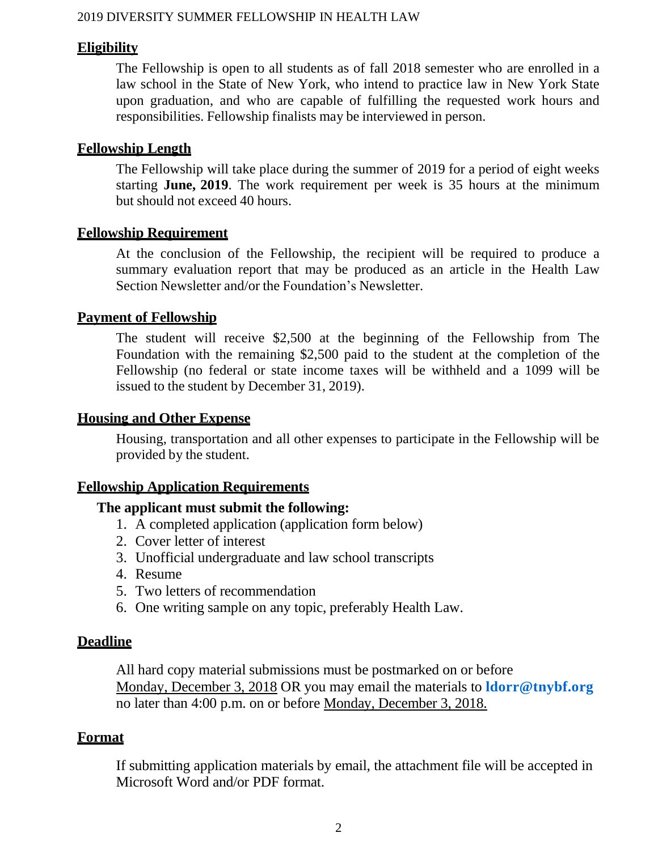## **Eligibility**

The Fellowship is open to all students as of fall 2018 semester who are enrolled in a law school in the State of New York, who intend to practice law in New York State upon graduation, and who are capable of fulfilling the requested work hours and responsibilities. Fellowship finalists may be interviewed in person.

## **Fellowship Length**

The Fellowship will take place during the summer of 2019 for a period of eight weeks starting **June, 2019**. The work requirement per week is 35 hours at the minimum but should not exceed 40 hours.

## **Fellowship Requirement**

At the conclusion of the Fellowship, the recipient will be required to produce a summary evaluation report that may be produced as an article in the Health Law Section Newsletter and/or the Foundation's Newsletter.

## **Payment of Fellowship**

The student will receive \$2,500 at the beginning of the Fellowship from The Foundation with the remaining \$2,500 paid to the student at the completion of the Fellowship (no federal or state income taxes will be withheld and a 1099 will be issued to the student by December 31, 2019).

## **Housing and Other Expense**

Housing, transportation and all other expenses to participate in the Fellowship will be provided by the student.

## **Fellowship Application Requirements**

## **The applicant must submit the following:**

- 1. A completed application (application form below)
- 2. Cover letter of interest
- 3. Unofficial undergraduate and law school transcripts
- 4. Resume
- 5. Two letters of recommendation
- 6. One writing sample on any topic, preferably Health Law.

## **Deadline**

All hard copy material submissions must be postmarked on or before Monday, December 3, 2018 OR you may email the materials to **[ldorr@tnybf.org](mailto:ldorr@tnybf.org)** no later than 4:00 p.m. on or before Monday, December 3, 2018.

## **Format**

If submitting application materials by email, the attachment file will be accepted in Microsoft Word and/or PDF format.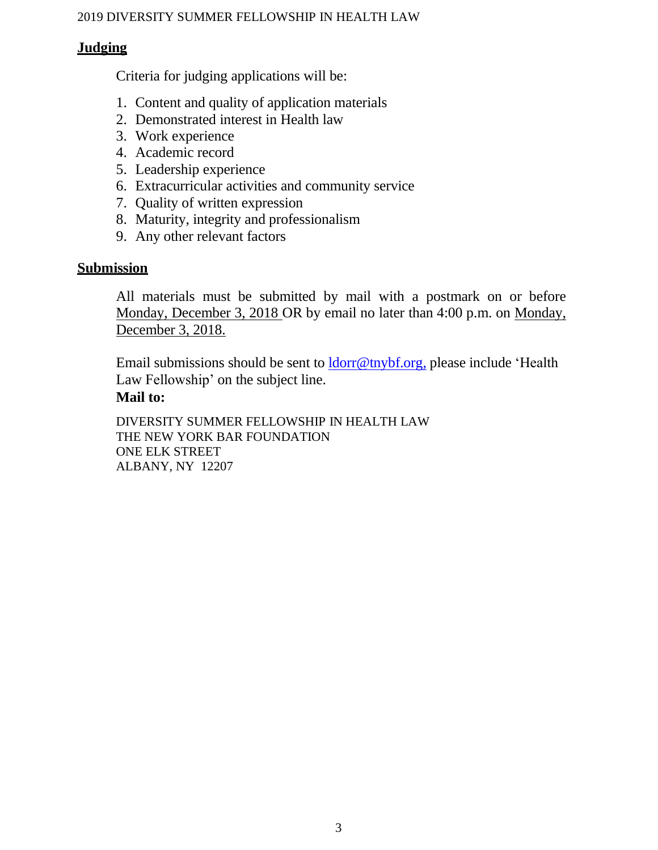## **Judging**

Criteria for judging applications will be:

- 1. Content and quality of application materials
- 2. Demonstrated interest in Health law
- 3. Work experience
- 4. Academic record
- 5. Leadership experience
- 6. Extracurricular activities and community service
- 7. Quality of written expression
- 8. Maturity, integrity and professionalism
- 9. Any other relevant factors

## **Submission**

All materials must be submitted by mail with a postmark on or before Monday, December 3, 2018 OR by email no later than 4:00 p.m. on Monday, December 3, 2018.

Email submissions should be sent to [ldorr@tnybf.org,](mailto:ldorr@tnybf.org,) please include 'Health Law Fellowship' on the subject line.

## **Mail to:**

DIVERSITY SUMMER FELLOWSHIP IN HEALTH LAW THE NEW YORK BAR FOUNDATION ONE ELK STREET ALBANY, NY 12207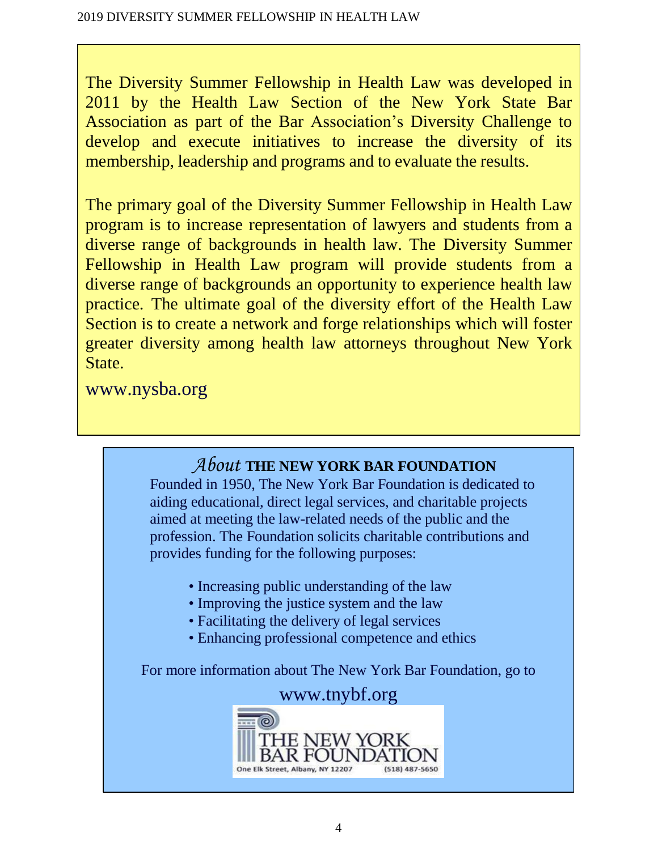The Diversity Summer Fellowship in Health Law was developed in 2011 by the Health Law Section of the New York State Bar Association as part of the Bar Association's Diversity Challenge to develop and execute initiatives to increase the diversity of its membership, leadership and programs and to evaluate the results.

The primary goal of the Diversity Summer Fellowship in Health Law program is to increase representation of lawyers and students from a diverse range of backgrounds in health law. The Diversity Summer Fellowship in Health Law program will provide students from a diverse range of backgrounds an opportunity to experience health law practice. The ultimate goal of the diversity effort of the Health Law Section is to create a network and forge relationships which will foster greater diversity among health law attorneys throughout New York State.

[www.nysba.org](http://www.nysba.org/)

## *About* **THE NEW YORK BAR FOUNDATION**

Founded in 1950, The New York Bar Foundation is dedicated to aiding educational, direct legal services, and charitable projects aimed at meeting the law-related needs of the public and the profession. The Foundation solicits charitable contributions and provides funding for the following purposes:

- Increasing public understanding of the law
- Improving the justice system and the law
- Facilitating the delivery of legal services
- Enhancing professional competence and ethics

For more information about The New York Bar Foundation, go to

## [www.tnybf.org](http://www.tnybf.org/)

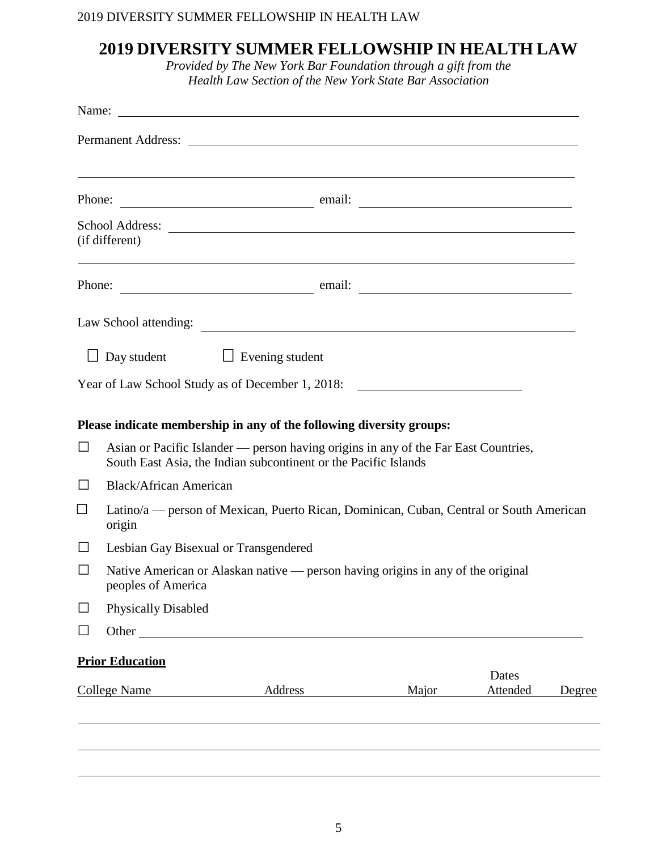## **2019 DIVERSITY SUMMER FELLOWSHIP IN HEALTH LAW**

*Provided by The New York Bar Foundation through a gift from the Health Law Section of the New York State Bar Association*

|                     |                                                                                                                                                        | Name:                                                                                                                                                                                                                          |                                                             |                   |        |  |
|---------------------|--------------------------------------------------------------------------------------------------------------------------------------------------------|--------------------------------------------------------------------------------------------------------------------------------------------------------------------------------------------------------------------------------|-------------------------------------------------------------|-------------------|--------|--|
|                     |                                                                                                                                                        |                                                                                                                                                                                                                                |                                                             |                   |        |  |
|                     |                                                                                                                                                        |                                                                                                                                                                                                                                | <u> 1989 - Johann Stoff, amerikansk politiker (d. 1989)</u> |                   |        |  |
|                     | (if different)                                                                                                                                         | ,我们也不会有什么。""我们的人,我们也不会有什么?""我们的人,我们也不会有什么?""我们的人,我们也不会有什么?""我们的人,我们也不会有什么?""我们的人                                                                                                                                               |                                                             |                   |        |  |
|                     |                                                                                                                                                        | Phone: email: email: email: email: email: email: email: email: email: email: email: email: email: email: email: email: email: email: email: email: email: email: email: email: email: email: email: email: email: email: email |                                                             |                   |        |  |
|                     |                                                                                                                                                        |                                                                                                                                                                                                                                |                                                             |                   |        |  |
|                     |                                                                                                                                                        | $\Box$ Day student $\Box$ Evening student                                                                                                                                                                                      |                                                             |                   |        |  |
|                     |                                                                                                                                                        | Year of Law School Study as of December 1, 2018:                                                                                                                                                                               |                                                             |                   |        |  |
|                     |                                                                                                                                                        | Please indicate membership in any of the following diversity groups:                                                                                                                                                           |                                                             |                   |        |  |
| $\Box$              | Asian or Pacific Islander — person having origins in any of the Far East Countries,<br>South East Asia, the Indian subcontinent or the Pacific Islands |                                                                                                                                                                                                                                |                                                             |                   |        |  |
| $\Box$              | <b>Black/African American</b>                                                                                                                          |                                                                                                                                                                                                                                |                                                             |                   |        |  |
| $\Box$              | Latino/a — person of Mexican, Puerto Rican, Dominican, Cuban, Central or South American<br>origin                                                      |                                                                                                                                                                                                                                |                                                             |                   |        |  |
| $\Box$              | Lesbian Gay Bisexual or Transgendered                                                                                                                  |                                                                                                                                                                                                                                |                                                             |                   |        |  |
| $\Box$              | Native American or Alaskan native — person having origins in any of the original<br>peoples of America                                                 |                                                                                                                                                                                                                                |                                                             |                   |        |  |
|                     | <b>Physically Disabled</b>                                                                                                                             |                                                                                                                                                                                                                                |                                                             |                   |        |  |
|                     |                                                                                                                                                        | Other                                                                                                                                                                                                                          |                                                             |                   |        |  |
|                     | <b>Prior Education</b>                                                                                                                                 |                                                                                                                                                                                                                                |                                                             |                   |        |  |
| <b>College Name</b> |                                                                                                                                                        | Address                                                                                                                                                                                                                        | Major                                                       | Dates<br>Attended | Degree |  |
|                     |                                                                                                                                                        |                                                                                                                                                                                                                                |                                                             |                   |        |  |